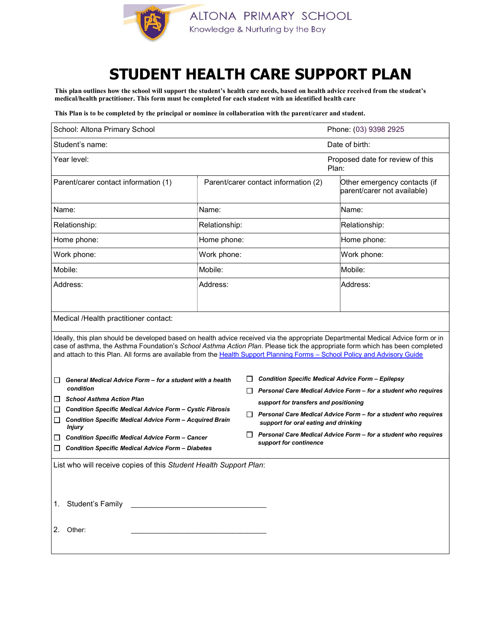

## STUDENT HEALTH CARE SUPPORT PLAN

This plan outlines how the school will support the student's health care needs, based on health advice received from the student's medical/health practitioner. This form must be completed for each student with an identified health care

This Plan is to be completed by the principal or nominee in collaboration with the parent/carer and student.

| School: Altona Primary School                                                                                                                                                                                                                                                                                                                                                                   |                                      |  |                                                                                                         | Phone: (03) 9398 2925                                       |  |
|-------------------------------------------------------------------------------------------------------------------------------------------------------------------------------------------------------------------------------------------------------------------------------------------------------------------------------------------------------------------------------------------------|--------------------------------------|--|---------------------------------------------------------------------------------------------------------|-------------------------------------------------------------|--|
| Student's name:                                                                                                                                                                                                                                                                                                                                                                                 |                                      |  |                                                                                                         | Date of birth:                                              |  |
| Year level:                                                                                                                                                                                                                                                                                                                                                                                     |                                      |  |                                                                                                         | Proposed date for review of this<br>Plan:                   |  |
| Parent/carer contact information (1)                                                                                                                                                                                                                                                                                                                                                            | Parent/carer contact information (2) |  |                                                                                                         | Other emergency contacts (if<br>parent/carer not available) |  |
| Name:                                                                                                                                                                                                                                                                                                                                                                                           | Name:                                |  |                                                                                                         | Name:                                                       |  |
| Relationship:                                                                                                                                                                                                                                                                                                                                                                                   | Relationship:                        |  |                                                                                                         | Relationship:                                               |  |
| Home phone:                                                                                                                                                                                                                                                                                                                                                                                     | Home phone:                          |  |                                                                                                         | Home phone:                                                 |  |
| Work phone:                                                                                                                                                                                                                                                                                                                                                                                     | Work phone:                          |  |                                                                                                         | Work phone:                                                 |  |
| Mobile:                                                                                                                                                                                                                                                                                                                                                                                         | Mobile:                              |  |                                                                                                         | Mobile:                                                     |  |
| Address:                                                                                                                                                                                                                                                                                                                                                                                        | Address:                             |  |                                                                                                         | Address:                                                    |  |
| Medical /Health practitioner contact:                                                                                                                                                                                                                                                                                                                                                           |                                      |  |                                                                                                         |                                                             |  |
| Ideally, this plan should be developed based on health advice received via the appropriate Departmental Medical Advice form or in<br>case of asthma, the Asthma Foundation's School Asthma Action Plan. Please tick the appropriate form which has been completed<br>and attach to this Plan. All forms are available from the Health Support Planning Forms - School Policy and Advisory Guide |                                      |  |                                                                                                         |                                                             |  |
| General Medical Advice Form - for a student with a health<br>ш<br>condition                                                                                                                                                                                                                                                                                                                     |                                      |  | <b>Condition Specific Medical Advice Form - Epilepsy</b>                                                |                                                             |  |
| <b>School Asthma Action Plan</b><br>$\Box$                                                                                                                                                                                                                                                                                                                                                      |                                      |  | Personal Care Medical Advice Form - for a student who requires<br>support for transfers and positioning |                                                             |  |
| <b>Condition Specific Medical Advice Form - Cystic Fibrosis</b><br>$\Box$<br><b>Condition Specific Medical Advice Form - Acquired Brain</b><br>□<br>Injury<br><b>Condition Specific Medical Advice Form - Cancer</b><br>ப<br><b>Condition Specific Medical Advice Form - Diabetes</b><br>⊔                                                                                                      |                                      |  | Personal Care Medical Advice Form - for a student who requires<br>support for oral eating and drinking  |                                                             |  |
|                                                                                                                                                                                                                                                                                                                                                                                                 |                                      |  | Personal Care Medical Advice Form - for a student who requires<br>support for continence                |                                                             |  |
| List who will receive copies of this Student Health Support Plan:                                                                                                                                                                                                                                                                                                                               |                                      |  |                                                                                                         |                                                             |  |
|                                                                                                                                                                                                                                                                                                                                                                                                 |                                      |  |                                                                                                         |                                                             |  |
| 2. Other:                                                                                                                                                                                                                                                                                                                                                                                       |                                      |  |                                                                                                         |                                                             |  |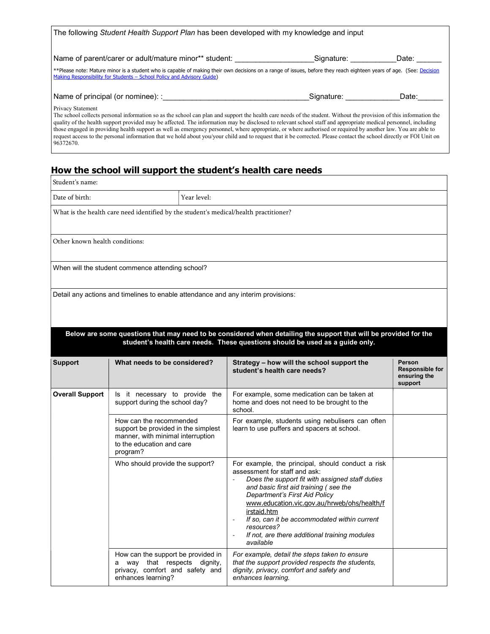| The following Student Health Support Plan has been developed with my knowledge and input                                                                                                                                                                                                                                                                                                                                                                                                                                                                                                                                                                                                                             |            |       |  |  |
|----------------------------------------------------------------------------------------------------------------------------------------------------------------------------------------------------------------------------------------------------------------------------------------------------------------------------------------------------------------------------------------------------------------------------------------------------------------------------------------------------------------------------------------------------------------------------------------------------------------------------------------------------------------------------------------------------------------------|------------|-------|--|--|
| Name of parent/carer or adult/mature minor** student:                                                                                                                                                                                                                                                                                                                                                                                                                                                                                                                                                                                                                                                                | Signature: | Date: |  |  |
| **Please note: Mature minor is a student who is capable of making their own decisions on a range of issues, before they reach eighteen years of age. (See: Decision<br>Making Responsibility for Students - School Policy and Advisory Guide)                                                                                                                                                                                                                                                                                                                                                                                                                                                                        |            |       |  |  |
| Name of principal (or nominee): :                                                                                                                                                                                                                                                                                                                                                                                                                                                                                                                                                                                                                                                                                    | Signature: | Date: |  |  |
| <b>Privacy Statement</b><br>The school collects personal information so as the school can plan and support the health care needs of the student. Without the provision of this information the<br>quality of the health support provided may be affected. The information may be disclosed to relevant school staff and appropriate medical personnel, including<br>those engaged in providing health support as well as emergency personnel, where appropriate, or where authorised or required by another law. You are able to<br>request access to the personal information that we hold about you/your child and to request that it be corrected. Please contact the school directly or FOI Unit on<br>96372670. |            |       |  |  |

## How the school will support the student's health care needs

| Student's name:                |                                                                                                                                              |                                                                                                                                                                                                                                                                                                                                                                                                           |                                                             |
|--------------------------------|----------------------------------------------------------------------------------------------------------------------------------------------|-----------------------------------------------------------------------------------------------------------------------------------------------------------------------------------------------------------------------------------------------------------------------------------------------------------------------------------------------------------------------------------------------------------|-------------------------------------------------------------|
| Date of birth:                 | Year level:                                                                                                                                  |                                                                                                                                                                                                                                                                                                                                                                                                           |                                                             |
|                                | What is the health care need identified by the student's medical/health practitioner?                                                        |                                                                                                                                                                                                                                                                                                                                                                                                           |                                                             |
| Other known health conditions: |                                                                                                                                              |                                                                                                                                                                                                                                                                                                                                                                                                           |                                                             |
|                                | When will the student commence attending school?                                                                                             |                                                                                                                                                                                                                                                                                                                                                                                                           |                                                             |
|                                | Detail any actions and timelines to enable attendance and any interim provisions:                                                            |                                                                                                                                                                                                                                                                                                                                                                                                           |                                                             |
|                                |                                                                                                                                              | Below are some questions that may need to be considered when detailing the support that will be provided for the<br>student's health care needs. These questions should be used as a guide only.                                                                                                                                                                                                          |                                                             |
| <b>Support</b>                 | What needs to be considered?                                                                                                                 | Strategy - how will the school support the<br>student's health care needs?                                                                                                                                                                                                                                                                                                                                | Person<br><b>Responsible for</b><br>ensuring the<br>support |
| <b>Overall Support</b>         | Is it necessary to provide the<br>support during the school day?                                                                             | For example, some medication can be taken at<br>home and does not need to be brought to the<br>school.                                                                                                                                                                                                                                                                                                    |                                                             |
|                                | How can the recommended<br>support be provided in the simplest<br>manner, with minimal interruption<br>to the education and care<br>program? | For example, students using nebulisers can often<br>learn to use puffers and spacers at school.                                                                                                                                                                                                                                                                                                           |                                                             |
|                                | Who should provide the support?                                                                                                              | For example, the principal, should conduct a risk<br>assessment for staff and ask:<br>Does the support fit with assigned staff duties<br>and basic first aid training (see the<br>Department's First Aid Policy<br>www.education.vic.gov.au/hrweb/ohs/health/f<br>irstaid.htm<br>If so, can it be accommodated within current<br>resources?<br>If not, are there additional training modules<br>available |                                                             |
|                                | How can the support be provided in<br>a way that respects dignity,<br>privacy, comfort and safety and<br>enhances learning?                  | For example, detail the steps taken to ensure<br>that the support provided respects the students,<br>dignity, privacy, comfort and safety and<br>enhances learning.                                                                                                                                                                                                                                       |                                                             |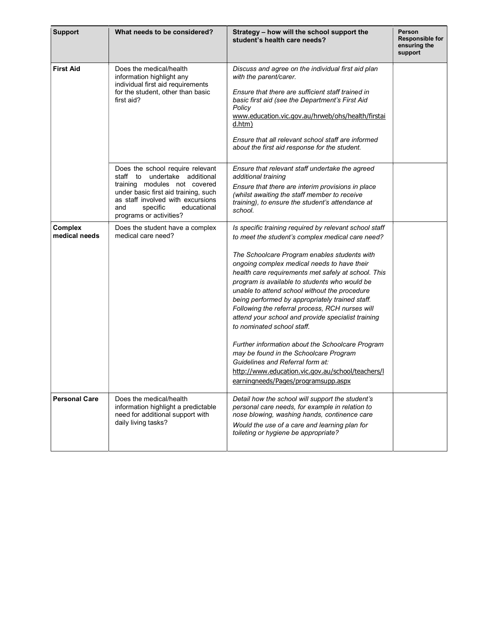| <b>Support</b>                  | What needs to be considered?                                                                                                                                                                                                                | Strategy - how will the school support the<br>student's health care needs?                                                                                                                                                                                                                                                                                                                                                                                                                                                                                                                                                                                                                                                                                                                 | Person<br>Responsible for<br>ensuring the<br>support |
|---------------------------------|---------------------------------------------------------------------------------------------------------------------------------------------------------------------------------------------------------------------------------------------|--------------------------------------------------------------------------------------------------------------------------------------------------------------------------------------------------------------------------------------------------------------------------------------------------------------------------------------------------------------------------------------------------------------------------------------------------------------------------------------------------------------------------------------------------------------------------------------------------------------------------------------------------------------------------------------------------------------------------------------------------------------------------------------------|------------------------------------------------------|
| <b>First Aid</b>                | Does the medical/health<br>information highlight any<br>individual first aid requirements<br>for the student, other than basic<br>first aid?                                                                                                | Discuss and agree on the individual first aid plan<br>with the parent/carer.<br>Ensure that there are sufficient staff trained in<br>basic first aid (see the Department's First Aid<br>Policy<br>www.education.vic.gov.au/hrweb/ohs/health/firstai<br>d.htm)<br>Ensure that all relevant school staff are informed<br>about the first aid response for the student.                                                                                                                                                                                                                                                                                                                                                                                                                       |                                                      |
|                                 | Does the school require relevant<br>staff to undertake additional<br>training modules not covered<br>under basic first aid training, such<br>as staff involved with excursions<br>specific<br>educational<br>and<br>programs or activities? | Ensure that relevant staff undertake the agreed<br>additional training<br>Ensure that there are interim provisions in place<br>(whilst awaiting the staff member to receive<br>training), to ensure the student's attendance at<br>school.                                                                                                                                                                                                                                                                                                                                                                                                                                                                                                                                                 |                                                      |
| <b>Complex</b><br>medical needs | Does the student have a complex<br>medical care need?                                                                                                                                                                                       | Is specific training required by relevant school staff<br>to meet the student's complex medical care need?<br>The Schoolcare Program enables students with<br>ongoing complex medical needs to have their<br>health care requirements met safely at school. This<br>program is available to students who would be<br>unable to attend school without the procedure<br>being performed by appropriately trained staff.<br>Following the referral process, RCH nurses will<br>attend your school and provide specialist training<br>to nominated school staff.<br>Further information about the Schoolcare Program<br>may be found in the Schoolcare Program<br>Guidelines and Referral form at:<br>http://www.education.vic.gov.au/school/teachers/l<br>earningneeds/Pages/programsupp.aspx |                                                      |
| <b>Personal Care</b>            | Does the medical/health<br>information highlight a predictable<br>need for additional support with<br>daily living tasks?                                                                                                                   | Detail how the school will support the student's<br>personal care needs, for example in relation to<br>nose blowing, washing hands, continence care<br>Would the use of a care and learning plan for<br>toileting or hygiene be appropriate?                                                                                                                                                                                                                                                                                                                                                                                                                                                                                                                                               |                                                      |